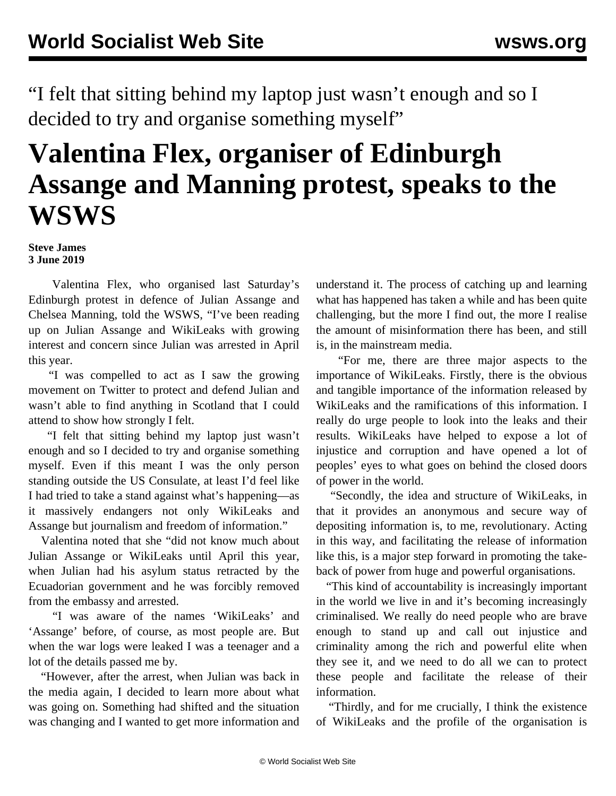"I felt that sitting behind my laptop just wasn't enough and so I decided to try and organise something myself"

## **Valentina Flex, organiser of Edinburgh Assange and Manning protest, speaks to the WSWS**

## **Steve James 3 June 2019**

 Valentina Flex, who organised last Saturday's Edinburgh [protest i](/en/articles/2019/06/03/prot-j03.html)n defence of Julian Assange and Chelsea Manning, told the WSWS, "I've been reading up on Julian Assange and WikiLeaks with growing interest and concern since Julian was arrested in April this year.

 "I was compelled to act as I saw the growing movement on Twitter to protect and defend Julian and wasn't able to find anything in Scotland that I could attend to show how strongly I felt.

 "I felt that sitting behind my laptop just wasn't enough and so I decided to try and organise something myself. Even if this meant I was the only person standing outside the US Consulate, at least I'd feel like I had tried to take a stand against what's happening—as it massively endangers not only WikiLeaks and Assange but journalism and freedom of information."

 Valentina noted that she "did not know much about Julian Assange or WikiLeaks until April this year, when Julian had his asylum status retracted by the Ecuadorian government and he was forcibly removed from the embassy and arrested.

 "I was aware of the names 'WikiLeaks' and 'Assange' before, of course, as most people are. But when the war logs were leaked I was a teenager and a lot of the details passed me by.

 "However, after the arrest, when Julian was back in the media again, I decided to learn more about what was going on. Something had shifted and the situation was changing and I wanted to get more information and

understand it. The process of catching up and learning what has happened has taken a while and has been quite challenging, but the more I find out, the more I realise the amount of misinformation there has been, and still is, in the mainstream media.

 "For me, there are three major aspects to the importance of WikiLeaks. Firstly, there is the obvious and tangible importance of the information released by WikiLeaks and the ramifications of this information. I really do urge people to look into the leaks and their results. WikiLeaks have helped to expose a lot of injustice and corruption and have opened a lot of peoples' eyes to what goes on behind the closed doors of power in the world.

 "Secondly, the idea and structure of WikiLeaks, in that it provides an anonymous and secure way of depositing information is, to me, revolutionary. Acting in this way, and facilitating the release of information like this, is a major step forward in promoting the takeback of power from huge and powerful organisations.

 "This kind of accountability is increasingly important in the world we live in and it's becoming increasingly criminalised. We really do need people who are brave enough to stand up and call out injustice and criminality among the rich and powerful elite when they see it, and we need to do all we can to protect these people and facilitate the release of their information.

 "Thirdly, and for me crucially, I think the existence of WikiLeaks and the profile of the organisation is